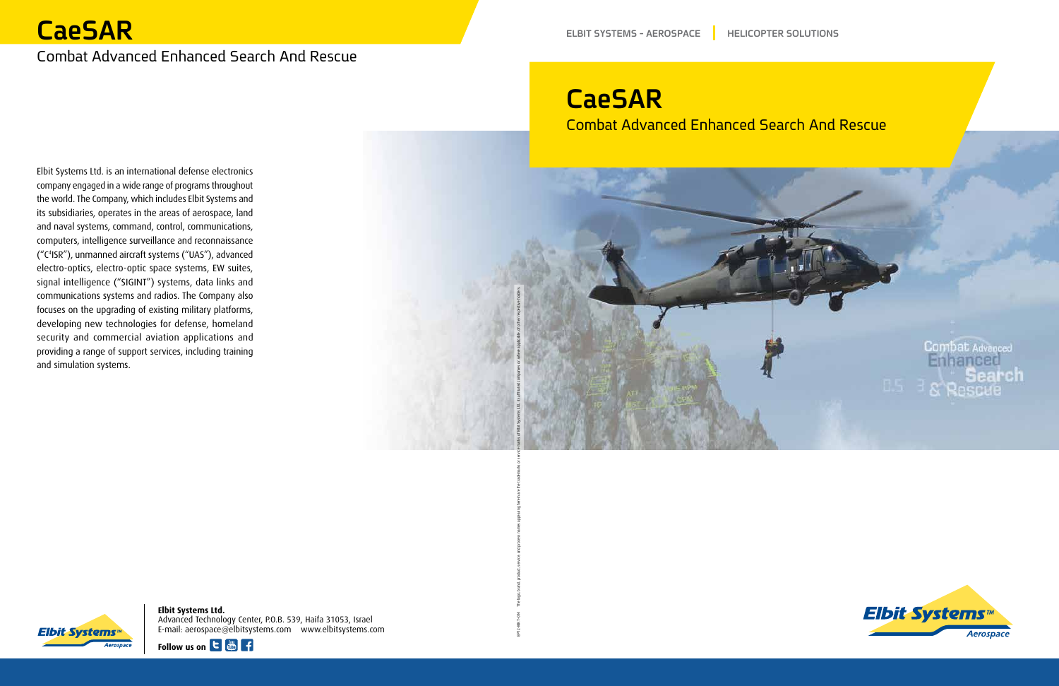**Elbit Systems Ltd.** Advanced Technology Center, P.O.B. 539, Haifa 31053, Israel com.elbitsystems.www com.elbitsystems@aerospace :mail-E





# **CaeSAR**

### **Combat Advanced Enhanced Search And Rescue**

**CaeSAR**

**Combat Advanced Enhanced Search And Rescue** 

Elbit Systems Ltd. is an international defense electronics company engaged in a wide range of programs throughout the world. The Company, which includes Elbit Systems and its subsidiaries, operates in the areas of aerospace, land and naval systems, command, control, communications, computers, intelligence surveillance and reconnaissance ("C4ISR"), unmanned aircraft systems ("UAS"), advanced electro-optics, electro-optic space systems, EW suites, signal intelligence ("SIGINT") systems, data links and communications systems and radios. The Company also focuses on the upgrading of existing military platforms, developing new technologies for defense, homeland security and commercial aviation applications and providing a range of support services, including training and simulation systems.